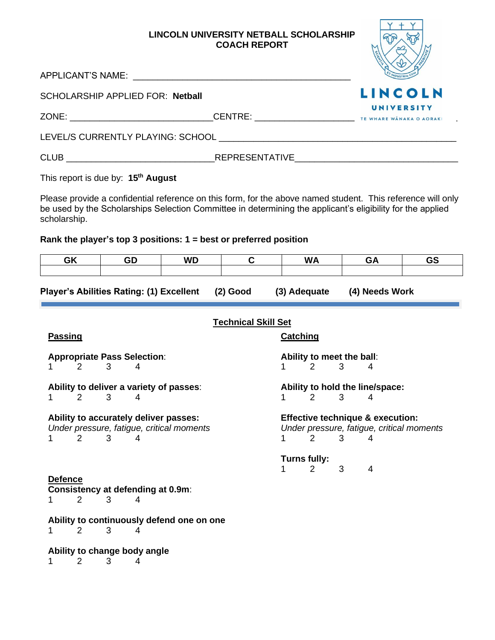# **LINCOLN UNIVERSITY NETBALL SCHOLARSHIP COACH REPORT**

|                                                                                                                                                                                                                                           | LINCOLN UNIVERSITY NETBALL SCHOLARSHIP<br><b>COACH REPORT</b> |                |
|-------------------------------------------------------------------------------------------------------------------------------------------------------------------------------------------------------------------------------------------|---------------------------------------------------------------|----------------|
|                                                                                                                                                                                                                                           |                                                               |                |
| SCHOLARSHIP APPLIED FOR: Netball                                                                                                                                                                                                          |                                                               | <b>LINCOLN</b> |
|                                                                                                                                                                                                                                           |                                                               | UNIVERSITY     |
|                                                                                                                                                                                                                                           |                                                               |                |
|                                                                                                                                                                                                                                           |                                                               |                |
| This report is due by: 15 <sup>th</sup> August                                                                                                                                                                                            |                                                               |                |
| Please provide a confidential reference on this form, for the above named student. This reference will only<br>be used by the Scholarships Selection Committee in determining the applicant's eligibility for the applied<br>scholarship. |                                                               |                |

# **Rank the player's top 3 positions: 1 = best or preferred position**

| <b>GK</b>                                                                |   | GD | <b>WD</b>                                 | $\mathbf C$                |                 | <b>WA</b>                             |   | GA                                          | <b>GS</b>                                 |
|--------------------------------------------------------------------------|---|----|-------------------------------------------|----------------------------|-----------------|---------------------------------------|---|---------------------------------------------|-------------------------------------------|
| <b>Player's Abilities Rating: (1) Excellent</b>                          |   |    |                                           | $(2)$ Good                 |                 | (3) Adequate                          |   | (4) Needs Work                              |                                           |
|                                                                          |   |    |                                           | <b>Technical Skill Set</b> |                 |                                       |   |                                             |                                           |
| <b>Passing</b>                                                           |   |    |                                           |                            | <b>Catching</b> |                                       |   |                                             |                                           |
| <b>Appropriate Pass Selection:</b>                                       |   |    |                                           |                            |                 | Ability to meet the ball:             |   |                                             |                                           |
| 2                                                                        | 3 | 4  |                                           |                            | 1.              | 2                                     | 3 | 4                                           |                                           |
| Ability to deliver a variety of passes:<br>$\overline{2}$<br>$\mathbf 1$ | 3 | 4  |                                           |                            | 1               | 2                                     | 3 | Ability to hold the line/space:<br>4        |                                           |
| Ability to accurately deliver passes:                                    |   |    | Under pressure, fatigue, critical moments |                            |                 |                                       |   | <b>Effective technique &amp; execution:</b> | Under pressure, fatigue, critical moments |
| 2<br>1.                                                                  | 3 | 4  |                                           |                            | 1               | $\overline{2}$                        | 3 | 4                                           |                                           |
| <b>Defence</b>                                                           |   |    |                                           |                            | 1               | <b>Turns fully:</b><br>$\overline{2}$ | 3 | 4                                           |                                           |
| Consistency at defending at 0.9m:                                        |   |    |                                           |                            |                 |                                       |   |                                             |                                           |
| $\overline{2}$                                                           | 3 | 4  |                                           |                            |                 |                                       |   |                                             |                                           |
| 2<br>1.                                                                  | 3 | 4  | Ability to continuously defend one on one |                            |                 |                                       |   |                                             |                                           |
| Ability to change body angle                                             |   |    |                                           |                            |                 |                                       |   |                                             |                                           |
| $\overline{2}$<br>1                                                      | 3 | 4  |                                           |                            |                 |                                       |   |                                             |                                           |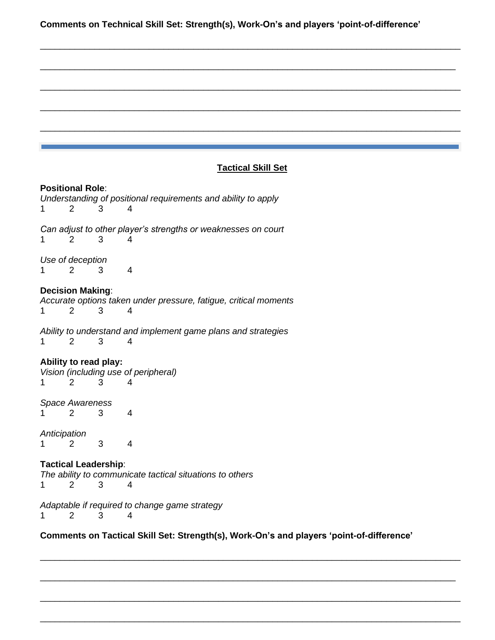**Comments on Technical Skill Set: Strength(s), Work-On's and players 'point-of-difference'**

\_\_\_\_\_\_\_\_\_\_\_\_\_\_\_\_\_\_\_\_\_\_\_\_\_\_\_\_\_\_\_\_\_\_\_\_\_\_\_\_\_\_\_\_\_\_\_\_\_\_\_\_\_\_\_\_\_\_\_\_\_\_\_\_\_\_\_\_\_\_\_\_\_\_\_\_\_\_\_\_\_\_\_\_\_

\_\_\_\_\_\_\_\_\_\_\_\_\_\_\_\_\_\_\_\_\_\_\_\_\_\_\_\_\_\_\_\_\_\_\_\_\_\_\_\_\_\_\_\_\_\_\_\_\_\_\_\_\_\_\_\_\_\_\_\_\_\_\_\_\_\_\_\_\_\_\_\_\_\_\_\_\_\_\_\_\_\_\_\_

\_\_\_\_\_\_\_\_\_\_\_\_\_\_\_\_\_\_\_\_\_\_\_\_\_\_\_\_\_\_\_\_\_\_\_\_\_\_\_\_\_\_\_\_\_\_\_\_\_\_\_\_\_\_\_\_\_\_\_\_\_\_\_\_\_\_\_\_\_\_\_\_\_\_\_\_\_\_\_\_\_\_\_\_\_

\_\_\_\_\_\_\_\_\_\_\_\_\_\_\_\_\_\_\_\_\_\_\_\_\_\_\_\_\_\_\_\_\_\_\_\_\_\_\_\_\_\_\_\_\_\_\_\_\_\_\_\_\_\_\_\_\_\_\_\_\_\_\_\_\_\_\_\_\_\_\_\_\_\_\_\_\_\_\_\_\_\_\_\_\_

\_\_\_\_\_\_\_\_\_\_\_\_\_\_\_\_\_\_\_\_\_\_\_\_\_\_\_\_\_\_\_\_\_\_\_\_\_\_\_\_\_\_\_\_\_\_\_\_\_\_\_\_\_\_\_\_\_\_\_\_\_\_\_\_\_\_\_\_\_\_\_\_\_\_\_\_\_\_\_\_\_\_\_\_\_

# **Tactical Skill Set**

#### **Positional Role**:

*Understanding of positional requirements and ability to apply* 1 2 3 4 *Can adjust to other player's strengths or weaknesses on court* 1 2 3 4

*Use of deception* 1 2 3 4

# **Decision Making**:

*Accurate options taken under pressure, fatigue, critical moments* 1 2 3 4

*Ability to understand and implement game plans and strategies* 1 2 3 4

#### **Ability to read play:**

*Vision (including use of peripheral)* 1 2 3 4

*Space Awareness*

1 2 3 4

*Anticipation* 1 2 3 4

**Tactical Leadership**: *The ability to communicate tactical situations to others* 1 2 3 4

*Adaptable if required to change game strategy* 1 2 3 4

**Comments on Tactical Skill Set: Strength(s), Work-On's and players 'point-of-difference'**

\_\_\_\_\_\_\_\_\_\_\_\_\_\_\_\_\_\_\_\_\_\_\_\_\_\_\_\_\_\_\_\_\_\_\_\_\_\_\_\_\_\_\_\_\_\_\_\_\_\_\_\_\_\_\_\_\_\_\_\_\_\_\_\_\_\_\_\_\_\_\_\_\_\_\_\_\_\_\_\_\_\_\_\_\_

\_\_\_\_\_\_\_\_\_\_\_\_\_\_\_\_\_\_\_\_\_\_\_\_\_\_\_\_\_\_\_\_\_\_\_\_\_\_\_\_\_\_\_\_\_\_\_\_\_\_\_\_\_\_\_\_\_\_\_\_\_\_\_\_\_\_\_\_\_\_\_\_\_\_\_\_\_\_\_\_\_\_\_\_

\_\_\_\_\_\_\_\_\_\_\_\_\_\_\_\_\_\_\_\_\_\_\_\_\_\_\_\_\_\_\_\_\_\_\_\_\_\_\_\_\_\_\_\_\_\_\_\_\_\_\_\_\_\_\_\_\_\_\_\_\_\_\_\_\_\_\_\_\_\_\_\_\_\_\_\_\_\_\_\_\_\_\_\_\_

\_\_\_\_\_\_\_\_\_\_\_\_\_\_\_\_\_\_\_\_\_\_\_\_\_\_\_\_\_\_\_\_\_\_\_\_\_\_\_\_\_\_\_\_\_\_\_\_\_\_\_\_\_\_\_\_\_\_\_\_\_\_\_\_\_\_\_\_\_\_\_\_\_\_\_\_\_\_\_\_\_\_\_\_\_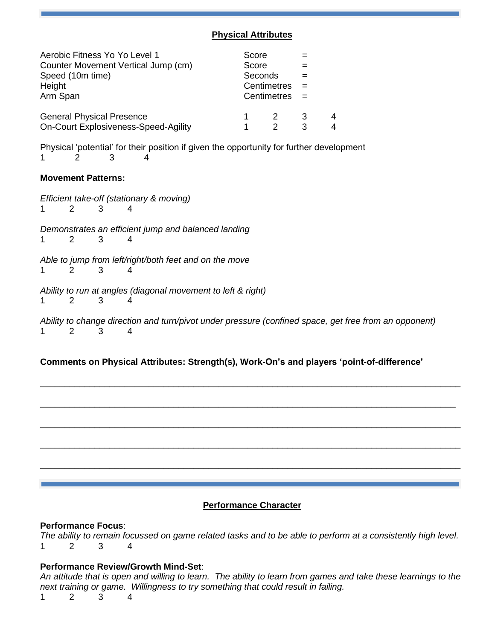# **Physical Attributes**

| Aerobic Fitness Yo Yo Level 1<br>Counter Movement Vertical Jump (cm)<br>Speed (10m time)<br>Height<br>Arm Span | Score<br>Score<br>Seconds<br>Centimetres<br>Centimetres |   |        |
|----------------------------------------------------------------------------------------------------------------|---------------------------------------------------------|---|--------|
| <b>General Physical Presence</b><br>On-Court Explosiveness-Speed-Agility                                       | 2                                                       | 3 | 4<br>4 |

Physical 'potential' for their position if given the opportunity for further development 1 2 3 4

### **Movement Patterns:**

*Efficient take-off (stationary & moving)* 1 2 3 4 *Demonstrates an efficient jump and balanced landing* 1 2 3 4 *Able to jump from left/right/both feet and on the move* 1 2 3 4 *Ability to run at angles (diagonal movement to left & right)* 1 2 3 4 *Ability to change direction and turn/pivot under pressure (confined space, get free from an opponent)* 1 2 3 4

# **Comments on Physical Attributes: Strength(s), Work-On's and players 'point-of-difference'**

\_\_\_\_\_\_\_\_\_\_\_\_\_\_\_\_\_\_\_\_\_\_\_\_\_\_\_\_\_\_\_\_\_\_\_\_\_\_\_\_\_\_\_\_\_\_\_\_\_\_\_\_\_\_\_\_\_\_\_\_\_\_\_\_\_\_\_\_\_\_\_\_\_\_\_\_\_\_\_\_\_\_\_\_\_

\_\_\_\_\_\_\_\_\_\_\_\_\_\_\_\_\_\_\_\_\_\_\_\_\_\_\_\_\_\_\_\_\_\_\_\_\_\_\_\_\_\_\_\_\_\_\_\_\_\_\_\_\_\_\_\_\_\_\_\_\_\_\_\_\_\_\_\_\_\_\_\_\_\_\_\_\_\_\_\_\_\_\_\_

\_\_\_\_\_\_\_\_\_\_\_\_\_\_\_\_\_\_\_\_\_\_\_\_\_\_\_\_\_\_\_\_\_\_\_\_\_\_\_\_\_\_\_\_\_\_\_\_\_\_\_\_\_\_\_\_\_\_\_\_\_\_\_\_\_\_\_\_\_\_\_\_\_\_\_\_\_\_\_\_\_\_\_\_\_

\_\_\_\_\_\_\_\_\_\_\_\_\_\_\_\_\_\_\_\_\_\_\_\_\_\_\_\_\_\_\_\_\_\_\_\_\_\_\_\_\_\_\_\_\_\_\_\_\_\_\_\_\_\_\_\_\_\_\_\_\_\_\_\_\_\_\_\_\_\_\_\_\_\_\_\_\_\_\_\_\_\_\_\_\_

\_\_\_\_\_\_\_\_\_\_\_\_\_\_\_\_\_\_\_\_\_\_\_\_\_\_\_\_\_\_\_\_\_\_\_\_\_\_\_\_\_\_\_\_\_\_\_\_\_\_\_\_\_\_\_\_\_\_\_\_\_\_\_\_\_\_\_\_\_\_\_\_\_\_\_\_\_\_\_\_\_\_\_\_\_

# **Performance Character**

### **Performance Focus**:

*The ability to remain focussed on game related tasks and to be able to perform at a consistently high level.* 1 2 3 4

### **Performance Review/Growth Mind-Set**:

*An attitude that is open and willing to learn. The ability to learn from games and take these learnings to the next training or game. Willingness to try something that could result in failing.*

1 2 3 4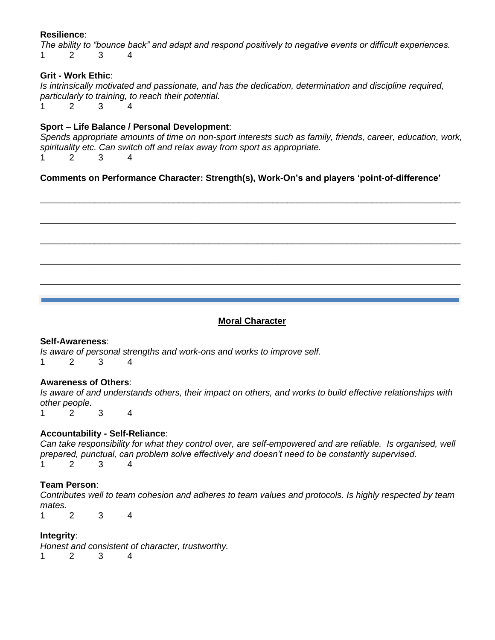# **Resilience**:

*The ability to "bounce back" and adapt and respond positively to negative events or difficult experiences.* 1 2 3 4

# **Grit - Work Ethic**:

*Is intrinsically motivated and passionate, and has the dedication, determination and discipline required, particularly to training, to reach their potential.* 1 2 3 4

# **Sport – Life Balance / Personal Development**:

*Spends appropriate amounts of time on non-sport interests such as family, friends, career, education, work, spirituality etc. Can switch off and relax away from sport as appropriate.* 1 2 3 4

\_\_\_\_\_\_\_\_\_\_\_\_\_\_\_\_\_\_\_\_\_\_\_\_\_\_\_\_\_\_\_\_\_\_\_\_\_\_\_\_\_\_\_\_\_\_\_\_\_\_\_\_\_\_\_\_\_\_\_\_\_\_\_\_\_\_\_\_\_\_\_\_\_\_\_\_\_\_\_\_\_\_\_\_\_

\_\_\_\_\_\_\_\_\_\_\_\_\_\_\_\_\_\_\_\_\_\_\_\_\_\_\_\_\_\_\_\_\_\_\_\_\_\_\_\_\_\_\_\_\_\_\_\_\_\_\_\_\_\_\_\_\_\_\_\_\_\_\_\_\_\_\_\_\_\_\_\_\_\_\_\_\_\_\_\_\_\_\_\_

\_\_\_\_\_\_\_\_\_\_\_\_\_\_\_\_\_\_\_\_\_\_\_\_\_\_\_\_\_\_\_\_\_\_\_\_\_\_\_\_\_\_\_\_\_\_\_\_\_\_\_\_\_\_\_\_\_\_\_\_\_\_\_\_\_\_\_\_\_\_\_\_\_\_\_\_\_\_\_\_\_\_\_\_\_

\_\_\_\_\_\_\_\_\_\_\_\_\_\_\_\_\_\_\_\_\_\_\_\_\_\_\_\_\_\_\_\_\_\_\_\_\_\_\_\_\_\_\_\_\_\_\_\_\_\_\_\_\_\_\_\_\_\_\_\_\_\_\_\_\_\_\_\_\_\_\_\_\_\_\_\_\_\_\_\_\_\_\_\_\_

\_\_\_\_\_\_\_\_\_\_\_\_\_\_\_\_\_\_\_\_\_\_\_\_\_\_\_\_\_\_\_\_\_\_\_\_\_\_\_\_\_\_\_\_\_\_\_\_\_\_\_\_\_\_\_\_\_\_\_\_\_\_\_\_\_\_\_\_\_\_\_\_\_\_\_\_\_\_\_\_\_\_\_\_\_

**Comments on Performance Character: Strength(s), Work-On's and players 'point-of-difference'** 

#### **Moral Character**

### **Self-Awareness**:

*Is aware of personal strengths and work-ons and works to improve self.* 1 2 3 4

### **Awareness of Others**:

*Is aware of and understands others, their impact on others, and works to build effective relationships with other people.*

1 2 3 4

### **Accountability - Self-Reliance**:

*Can take responsibility for what they control over, are self-empowered and are reliable. Is organised, well prepared, punctual, can problem solve effectively and doesn't need to be constantly supervised.* 1 2 3 4

### **Team Person**:

*Contributes well to team cohesion and adheres to team values and protocols. Is highly respected by team mates.*

1 2 3 4

# **Integrity**:

*Honest and consistent of character, trustworthy.*

1 2 3 4